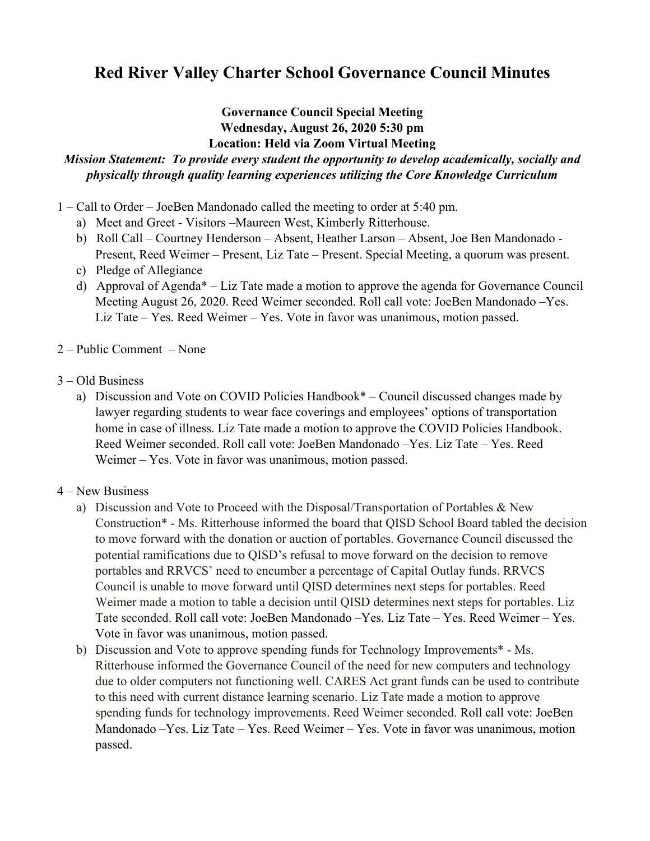## **Red River Valley Charter School Governance Council Minutes**

## **Governance Council Special Meeting Wednesday, August 26, 2020 5:30 pm Location: Held via Zoom Virtual Meeting**

## *Mission Statement: To provide every student the opportunity to develop academically, socially and physically through quality learning experiences utilizing the Core Knowledge Curriculum*

- 1 Call to Order JoeBen Mandonado called the meeting to order at 5:40 pm.
	- a) Meet and Greet Visitors –Maureen West, Kimberly Ritterhouse.
	- b) Roll Call Courtney Henderson Absent, Heather Larson Absent, Joe Ben Mandonado Present, Reed Weimer – Present, Liz Tate – Present. Special Meeting, a quorum was present.
	- c) Pledge of Allegiance
	- d) Approval of Agenda\* Liz Tate made a motion to approve the agenda for Governance Council Meeting August 26, 2020. Reed Weimer seconded. Roll call vote: JoeBen Mandonado –Yes. Liz Tate – Yes. Reed Weimer – Yes. Vote in favor was unanimous, motion passed.
- 2 Public Comment None
- 3 Old Business
	- a) Discussion and Vote on COVID Policies Handbook\* Council discussed changes made by lawyer regarding students to wear face coverings and employees' options of transportation home in case of illness. Liz Tate made a motion to approve the COVID Policies Handbook. Reed Weimer seconded. Roll call vote: JoeBen Mandonado –Yes. Liz Tate – Yes. Reed Weimer – Yes. Vote in favor was unanimous, motion passed.
- 4 New Business
	- a) Discussion and Vote to Proceed with the Disposal/Transportation of Portables & New Construction\* - Ms. Ritterhouse informed the board that QISD School Board tabled the decision to move forward with the donation or auction of portables. Governance Council discussed the potential ramifications due to QISD's refusal to move forward on the decision to remove portables and RRVCS' need to encumber a percentage of Capital Outlay funds. RRVCS Council is unable to move forward until QISD determines next steps for portables. Reed Weimer made a motion to table a decision until QISD determines next steps for portables. Liz Tate seconded. Roll call vote: JoeBen Mandonado –Yes. Liz Tate – Yes. Reed Weimer – Yes. Vote in favor was unanimous, motion passed.
	- b) Discussion and Vote to approve spending funds for Technology Improvements\* Ms. Ritterhouse informed the Governance Council of the need for new computers and technology due to older computers not functioning well. CARES Act grant funds can be used to contribute to this need with current distance learning scenario. Liz Tate made a motion to approve spending funds for technology improvements. Reed Weimer seconded. Roll call vote: JoeBen Mandonado –Yes. Liz Tate – Yes. Reed Weimer – Yes. Vote in favor was unanimous, motion passed.